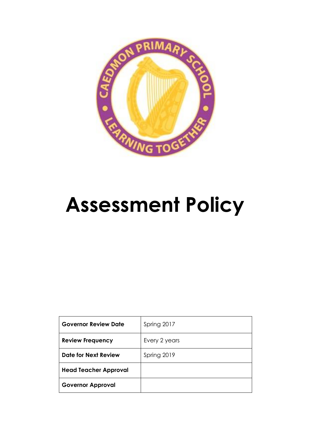

# **Assessment Policy**

| <b>Governor Review Date</b>  | Spring 2017   |
|------------------------------|---------------|
| <b>Review Frequency</b>      | Every 2 years |
| <b>Date for Next Review</b>  | Spring 2019   |
| <b>Head Teacher Approval</b> |               |
| <b>Governor Approval</b>     |               |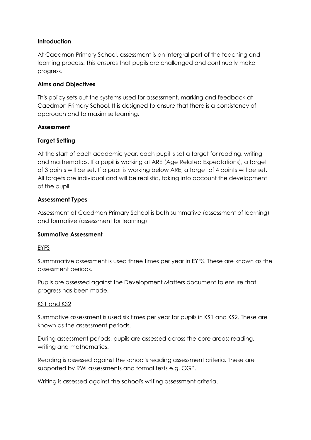# **Introduction**

At Caedmon Primary School, assessment is an intergral part of the teaching and learning process. This ensures that pupils are challenged and continually make progress.

# **Aims and Objectives**

This policy sets out the systems used for assessment, marking and feedback at Caedmon Primary School. It is designed to ensure that there is a consistency of approach and to maximise learning.

#### **Assessment**

# **Target Setting**

At the start of each academic year, each pupil is set a target for reading, writing and mathematics. If a pupil is working at ARE (Age Related Expectations), a target of 3 points will be set. If a pupil is working below ARE, a target of 4 points will be set. All targets are individual and will be realistic, taking into account the development of the pupil.

#### **Assessment Types**

Assessment at Caedmon Primary School is both summative (assessment of learning) and formative (assessment for learning).

#### **Summative Assessment**

#### EYFS

Summmative assessment is used three times per year in EYFS. These are known as the assessment periods.

Pupils are assessed against the Development Matters document to ensure that progress has been made.

#### KS1 and KS2

Summative assessment is used six times per year for pupils in KS1 and KS2. These are known as the assessment periods.

During assessment periods, pupils are assessed across the core areas: reading, writing and mathematics.

Reading is assessed against the school's reading assessment criteria. These are supported by RWI assessments and formal tests e.g. CGP.

Writing is assessed against the school's writing assessment criteria.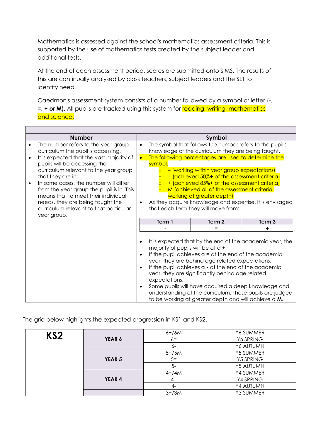Mathematics is assessed against the school's mathematics assessment criteria. This is supported by the use of mathematics tests created by the subject leader and additional tests.

At the end of each assessment period, scores are submitted onto SIMS. The results of this are continually analysed by class teachers, subject leaders and the SLT to identify need.

Caedmon's assessment system consists of a number followed by a symbol or letter (**-, =, + or M**). All pupils are tracked using this system for reading, writing, mathematics and science.

|                        | <b>Number</b>                                                                                                                                                                                                                                                                                                                                                                                                                  |                                                                                                                                                                                                                                                                                                                                                                                                                                                                                                                                                                           |                                                        | Symbol                                                                                                                                                                                                                                                                                                                              |                                                                                                                      |
|------------------------|--------------------------------------------------------------------------------------------------------------------------------------------------------------------------------------------------------------------------------------------------------------------------------------------------------------------------------------------------------------------------------------------------------------------------------|---------------------------------------------------------------------------------------------------------------------------------------------------------------------------------------------------------------------------------------------------------------------------------------------------------------------------------------------------------------------------------------------------------------------------------------------------------------------------------------------------------------------------------------------------------------------------|--------------------------------------------------------|-------------------------------------------------------------------------------------------------------------------------------------------------------------------------------------------------------------------------------------------------------------------------------------------------------------------------------------|----------------------------------------------------------------------------------------------------------------------|
| $\bullet$<br>$\bullet$ | The number refers to the year group<br>curriculum the pupil is accessing.<br>It is expected that the vast majority of<br>pupils will be accessing the<br>curriculum relevant to the year group<br>that they are in.<br>In some cases, the number will differ<br>from the year group the pupil is in. This<br>means that to meet their individual<br>needs, they are being taught the<br>curriculum relevant to that particular | The symbol that follows the number refers to the pupil's<br>$\bullet$<br>knowledge of the curriculum they are being taught.<br>The following percentages are used to determine the<br>$\bullet$<br>symbol.<br>- (working within year group expectations)<br>= (achieved 50%+ of the assessment criteria)<br>$\circ$<br>+ (achieved 85%+ of the assessment criteria)<br>M (achieved all of the assessment criteria,<br>$\overline{O}$<br>working at greater depth)<br>As they acquire knowledge and expertise, it is envisaged<br>٠<br>that each term they will move from: |                                                        |                                                                                                                                                                                                                                                                                                                                     |                                                                                                                      |
|                        | year group.                                                                                                                                                                                                                                                                                                                                                                                                                    |                                                                                                                                                                                                                                                                                                                                                                                                                                                                                                                                                                           | Term 1                                                 | Term 2                                                                                                                                                                                                                                                                                                                              | Term 3                                                                                                               |
|                        |                                                                                                                                                                                                                                                                                                                                                                                                                                |                                                                                                                                                                                                                                                                                                                                                                                                                                                                                                                                                                           |                                                        | =                                                                                                                                                                                                                                                                                                                                   | ÷                                                                                                                    |
|                        |                                                                                                                                                                                                                                                                                                                                                                                                                                | $\bullet$<br>٠<br>٠<br>٠                                                                                                                                                                                                                                                                                                                                                                                                                                                                                                                                                  | majority of pupils will be at $a +$ .<br>expectations. | If the pupil achieves $a = at$ the end of the academic<br>year, they are behind age related expectations.<br>If the pupil achieves a - at the end of the academic<br>year, they are significantly behind age related<br>Some pupils will have acquired a deep knowledge and<br>to be working at greater depth and will achieve a M. | It is expected that by the end of the academic year, the<br>understanding of the curriculum. These pupils are judged |

The grid below highlights the expected progression in KS1 and KS2.

 $\Gamma$ 

| KS <sub>2</sub> |               | $6+ / 6M$ | Y6 SUMMER        |
|-----------------|---------------|-----------|------------------|
|                 | YEAR 6        | $6=$      | Y6 SPRING        |
|                 |               | $6-$      | Y6 AUTUMN        |
|                 |               | $5+/5M$   | <b>Y5 SUMMER</b> |
|                 | <b>YEAR 5</b> | $5=$      | <b>Y5 SPRING</b> |
|                 |               | $5-$      | Y5 AUTUMN        |
|                 |               | $4+ / 4M$ | Y4 SUMMER        |
|                 | YEAR 4        | $4=$      | Y4 SPRING        |
|                 |               | 4-        | Y4 AUTUMN        |
|                 |               | $3+ / 3M$ | Y3 SUMMER        |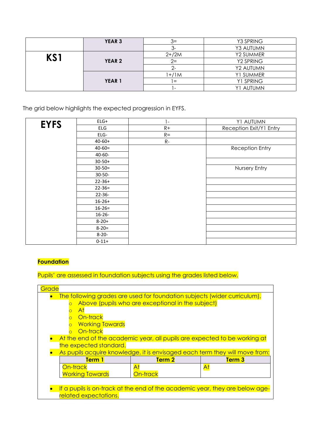|               | <b>YEAR 3</b>     | $3=$       | Y3 SPRING |
|---------------|-------------------|------------|-----------|
|               |                   |            | Y3 AUTUMN |
| KS1           |                   | $2 + / 2M$ | Y2 SUMMER |
| <b>YEAR 2</b> | $2=$              | Y2 SPRING  |           |
|               |                   |            | Y2 AUTUMN |
|               |                   | $+/1M$     | Y1 SUMMER |
|               | YEAR <sub>1</sub> | $=$        | Y1 SPRING |
|               |                   |            | Y1 AUTUMN |

The grid below highlights the expected progression in EYFS.

| <b>EYFS</b> | $ELG+$      | $\mathbf{I}$ | Y1 AUTUMN               |
|-------------|-------------|--------------|-------------------------|
|             | ELG         | $R+$         | Reception Exit/Y1 Entry |
|             | ELG-        | $R =$        |                         |
|             | $40 - 60 +$ | $R-$         |                         |
|             | $40 - 60 =$ |              | Reception Entry         |
|             | 40-60-      |              |                         |
|             | $30 - 50 +$ |              |                         |
|             | $30-50=$    |              | Nursery Entry           |
|             | $30 - 50 -$ |              |                         |
|             | $22 - 36 +$ |              |                         |
|             | $22 - 36 =$ |              |                         |
|             | $22 - 36 -$ |              |                         |
|             | $16 - 26 +$ |              |                         |
|             | $16 - 26 =$ |              |                         |
|             | $16 - 26 -$ |              |                         |
|             | $8 - 20 +$  |              |                         |
|             | $8 - 20 =$  |              |                         |
|             | $8 - 20 -$  |              |                         |
|             | $0 - 11 +$  |              |                         |

# **Foundation**

Pupils' are assessed in foundation subjects using the grades listed below.

| Grade                                                                                                                                                                                        |                                                                                                                                                          |                   |  |  |  |
|----------------------------------------------------------------------------------------------------------------------------------------------------------------------------------------------|----------------------------------------------------------------------------------------------------------------------------------------------------------|-------------------|--|--|--|
| The following grades are used for foundation subjects (wider curriculum).<br>Above (pupils who are exceptional in the subject)<br>$\overline{O}$<br>At<br>On-track<br><b>Working Towards</b> |                                                                                                                                                          |                   |  |  |  |
|                                                                                                                                                                                              | On-track                                                                                                                                                 |                   |  |  |  |
| the expected standard.                                                                                                                                                                       | At the end of the academic year, all pupils are expected to be working at<br>As pupils acquire knowledge, it is envisaged each term they will move from: |                   |  |  |  |
| Term 1                                                                                                                                                                                       | Term <sub>2</sub>                                                                                                                                        | Term <sub>3</sub> |  |  |  |
| On-track<br><b>Working Towards</b>                                                                                                                                                           | At<br>On-track                                                                                                                                           | At                |  |  |  |
| If a pupils is on-track at the end of the academic year, they are below age-<br>related expectations.                                                                                        |                                                                                                                                                          |                   |  |  |  |